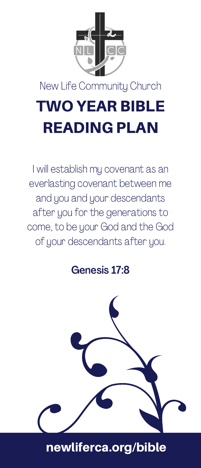

# TWO YEAR BIBLE READING PLAN

I will establish my covenant as an everlasting covenant between me and you and your descendants after you for the generations to come, to be your God and the God of your descendants after you.

Genesis 17:8

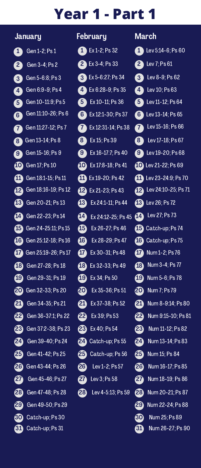|                         | January                       | Fe                      |
|-------------------------|-------------------------------|-------------------------|
|                         | Gen 1-2; Ps 1                 | $\blacksquare$          |
|                         | Gen 3-4; Ps 2                 | $\overline{c}$          |
|                         | Gen 5-6:8; Ps 3               | 【3                      |
|                         | Gen 6:9-9; Ps 4               | $\overline{4}$          |
| $\overline{\mathbf{6}}$ | Gen 10-11:9; Ps 5             | (5                      |
|                         | G Gen 11:10-26; Ps 6          | 6 <sup>1</sup>          |
|                         | Gen 11:27-12; Ps 7            | 7                       |
|                         | Gen 13-14; Ps 8               | $\overline{\mathbf{8}}$ |
|                         | Gen 15-16; Ps 9               | <b>9</b>                |
|                         | <b>10</b> Gen 17; Ps 10       | $\overline{10}$         |
|                         | Gen 18:1-15; Ps 11            | Œ                       |
|                         | Gen 18:16-19; Ps 12           | Œ                       |
|                         | <b>68</b> Gen 20-21; Ps 13    | Œ                       |
|                         | Gen 22-23; Ps 14              | Œ                       |
|                         | <b>63</b> Gen 24-25:11; Ps 15 | Œ                       |
|                         | Gen 25:12-18; Ps 16           | $\sqrt{16}$             |
|                         | Gen 25:19-26; Ps 17           | Œ                       |
|                         | <b>13</b> Gen 27-28; Ps 18    | Œ                       |
|                         | <b>B</b> Gen 29-31; Ps 19     | Œ                       |
|                         | 20 Gen 32-33; Ps 20           | 20                      |
|                         | <b>20</b> Gen 34-35; Ps 21    | ⅇ                       |
|                         | <b>22</b> Gen 36-37:1; Ps 22  | Œ                       |
|                         | <b>28</b> Gen 37:2-38; Ps 23  | Œ                       |
|                         | 24 Gen 39-40; Ps 24           | 24                      |
|                         | <b>25</b> Gen 41-42; Ps 25    | Æ                       |
|                         | 26 Gen 43-44; Ps 26           | 26                      |
|                         | <b>20</b> Gen 45-46; Ps 27    | Ø                       |
|                         | 28 Gen 47-48; Ps 28           | 28                      |
|                         | 29 Gen 49-50; Ps 29           |                         |
|                         | <b>60</b> Catch-up; Ps 30     |                         |
|                         | Catch-up; Ps 31               |                         |

| <u>February</u> |                           |  |  |  |
|-----------------|---------------------------|--|--|--|
|                 | $Ex 1-2; Ps 32$           |  |  |  |
|                 | <b>2</b> Ex 3-4; Ps 33    |  |  |  |
|                 | 8 Ex 5-6:27; Ps 34        |  |  |  |
| 4               | Ex 6:28-9; Ps 35          |  |  |  |
| 6               | Ex 10-11; Ps 36           |  |  |  |
| 6               | Ex 12:1-30; Ps 37         |  |  |  |
| 7               | Ex 12:31-14; Ps 38        |  |  |  |
|                 | <b>8</b> Ex 15; Ps 39     |  |  |  |
|                 | Ex 16-17:7; Ps 40         |  |  |  |
|                 | Ex 17:8-18; Ps 41         |  |  |  |
|                 | $\bullet$ Ex 19-20; Ps 42 |  |  |  |
| മ               | Ex 21-23; Ps 43           |  |  |  |
| 43              | Ex 24:1-11; Ps 44         |  |  |  |
| M               | Ex 24:12-25; Ps 45        |  |  |  |
| 45              | Ex 26-27; Ps 46           |  |  |  |
| 46              | Ex 28-29; Ps 47           |  |  |  |
| ⋒               | Ex 30-31; Ps 48           |  |  |  |
| <b>18</b>       | Ex 32-33; Ps 49           |  |  |  |
| മ               | Ex 34; Ps 50              |  |  |  |
| తి              | Ex 35-36; Ps 51           |  |  |  |
| മ               | Ex 37-38; Ps 52           |  |  |  |
| മ               | Ex 39; Ps 53              |  |  |  |
| తి              | Ex 40; Ps 54              |  |  |  |
| മ               | Catch-up; Ps 55           |  |  |  |
| க               | Catch-up; Ps 56           |  |  |  |
| മ               | Lev 1-2; Ps 57            |  |  |  |
| Ø               | Lev 3; Ps 58              |  |  |  |
| മ               | Lev 4-5:13; Ps 59         |  |  |  |
|                 |                           |  |  |  |

| March               |                            |
|---------------------|----------------------------|
|                     | Lev 5:14-6; Ps 60          |
|                     | $2$ Lev 7; Ps 61           |
|                     | <b>8</b> Lev 8-9; Ps 62    |
|                     | <b>4</b> Lev $10; Ps 63$   |
|                     | Lev 11-12; Ps 64           |
| (6)                 | Lev 13-14; Ps 65           |
|                     | Lev 15-16; Ps $66$         |
| $\overline{\bf{8}}$ | Lev 17-18; Ps 67           |
| ◙                   | Lev 19-20; Ps 68           |
|                     | <b>10</b> Lev 21-22; Ps 69 |
|                     | Lev 23-24:9: Ps 70         |
|                     | Lev 24:10-25; Ps 71        |
|                     | <b>B</b> Lev 26; Ps 72     |
|                     | Lev 27; Ps 73              |
|                     | Catch-up; Ps 74            |
|                     | Catch-up: Ps 75            |
|                     | Num 1-2; Ps 76             |
|                     | <b>13</b> Num 3-4; Ps 77   |
|                     | <b>19</b> Num 5-6; Ps 78   |
| ை                   | Num 7; Ps 79               |
| മ                   | Num 8-9:14; Ps 80          |
|                     | Num 9:15-10; Ps 81         |
| അ                   | Num 11-12; Ps 82           |
| 24)                 | Num 13-14; Ps 83           |
| ை                   | Num 15; Ps 84              |
| മ                   | Num 16-17; Ps 85           |
|                     | 20 Num 18-19; Ps 86        |
| മ                   | Num 20-21; Ps 87           |
|                     | 29 Num 22-24; Ps 88        |
| ை                   | Num 25; Ps 89              |
| ௵                   | Num 26-27; Ps 90           |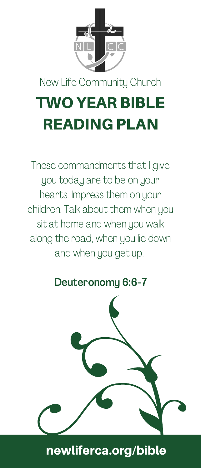

## TWO YEAR BIBLE READING PLAN

These commandments that I give you today are to be on your hearts. Impress them on your children. Talk about them when you sit at home and when you walk along the road, when you lie down and when you get up.

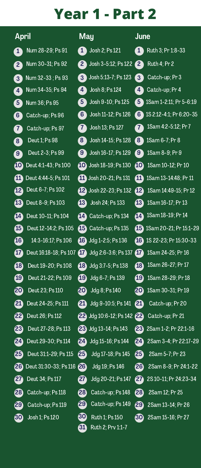| April             |                                 | May         |                                 | June            |                                  |
|-------------------|---------------------------------|-------------|---------------------------------|-----------------|----------------------------------|
| $\mathbf{1}$      | Num 28-29; Ps 91                |             | <b>1</b> Josh 2; Ps $121$       | A               | Ruth 3; Pr 1:8-33                |
| $\mathbf{2}$      | Num 30-31; Ps 92                | 2           | Josh 3-5:12; Ps 122 2           |                 | <b>Ruth 4: Pr 2</b>              |
| 3)                | Num 32-33 : Ps 93               | 3           | Josh 5:13-7: Ps 123             | 3               | Catch-up; Pr 3                   |
| $4^{\circ}$       | Num 34-35; Ps 94                | $4^{\circ}$ | Josh 8: Ps 124                  | 4               | Catch-up; Pr 4                   |
| $5^{\circ}$       | Num 36; Ps 95                   | $5^{\circ}$ | Josh 9-10; Ps 125               | 5 <sup>1</sup>  | 1Sam 1-2:11; Pr 5-6:19           |
| $\left( 6\right)$ | Catch-up; Ps 96                 | 61          | Josh 11-12; Ps 126              | 6)              | 1S 2:12-4:1; Pr 6:20-35          |
| 7                 | Catch-up: Ps 97                 | 7           | Josh 13; Ps 127                 | 7)              | 1Sam 4:2-5:12; Pr 7              |
| $\mathbf{S}$      | Deut 1; Ps 98                   | $8^{\circ}$ | Josh 14-15; Ps 128              | 8 <sup>1</sup>  | 1Sam 6-7; Pr 8                   |
| <b>G</b>          | Deut 2-3; Ps 99                 | <b>G</b>    | Josh 16-17; Ps 129              | $9^{\circ}$     | 1Sam 8-9; Pr 9                   |
| $\boldsymbol{10}$ | Deut 4:1-43; Ps 100             |             | <b>10</b> Josh 18-19; Ps 130    | 40              | 1Sam 10-12; Pr 10                |
| ⋒                 | Deut 4:44-5; Ps 101             |             | $\mathbf{m}$ Josh 20-21; Ps 131 | 凸               | 1Sam 13-14:48; Pr 11             |
| 42                | Deut 6-7; Ps 102                |             | 12 Josh 22-23; Ps 132           | $\overline{12}$ | 1Sam 14:49-15; Pr 12             |
| $\overline{13}$   | Deut 8-9; Ps 103                | 43          | Josh 24; Ps 133                 | 43              | 1Sam 16-17: Pr 13                |
| 14                | Deut 10-11: Ps 104              | 14          | Catch-up; Ps 134                | 44              | 1Sam 18-19; Pr 14                |
| 45                | Deut 12-14:2: Ps 105            |             | $\Box$ Catch-up; Ps 135         |                 | <b>45</b> 1Sam 20-21: Pr 15:1-29 |
| 46                | 14:3-16:17; Ps 106              |             | $16$ Jdg 1-2:5; Ps 136          |                 | <b>16</b> 1S 22-23: Pr 15:30-33  |
| 67                | Deut 16:18-18; Ps 107 <b>47</b> |             | Jdg 2:6-3:6; Ps 137             | 47              | 1Sam 24-25; Pr 16                |
| $\overline{a}$    | Deut 19-20; Ps 108              | 13          | Jdg 3:7-5; Ps 138               | 48              | 1Sam 26-27; Pr 17                |
| $\overline{19}$   | Deut 21-22; Ps 109              | ര           | Jdg 6-7; Ps 139                 | 49              | 1Sam 28-29; Pr 18                |
| 20                | Deut 23; Ps 110                 | 20          | Jdg 8; Ps 140                   | 20              | 1Sam 30-31; Pr 19                |
| മ                 | Deut 24-25; Ps 111              | 21          | Jdg 9-10:5; Ps 141              | 21              | Catch-up; Pr 20                  |
| മ                 | Deut 26; Ps 112                 |             | 22 Jdg 10:6-12; Ps 142 22       |                 | Catch-up; Pr 21                  |
| മ                 | Deut 27-28; Ps 113              |             | 23 Jdg 13-14; Ps 143            | ജ               | 2Sam 1-2; Pr 22:1-16             |
| 24                | Deut 29-30; Ps 114              | 24          | Jdg 15-16; Ps 144               | 24              | 2Sam 3-4; Pr 22:17-29            |
| 25                | Deut 31:1-29; Ps 115            | 25)         | Jda 17-18; Ps 145               | മ               | 2Sam 5-7; Pr 23                  |
| 26                | Deut 31:30-33; Ps 116 26        |             | Jdg 19: Ps 146                  | 26              | 2Sam 8-9: Pr 24:1-22             |
| 27                | Deut 34; Ps 117                 | 27          | Jdg 20-21; Ps 147               | 27              | 2S 10-11; Pr 24:23-34            |
| 28                | Catch-up; Ps 118                | 28          | Catch-up; Ps 148                | 28              | 2Sam 12: Pr 25                   |
| 29                | Catch-up; Ps 119                | 29          | Catch-up; Ps 149                | 29              | 2Sam 13-14; Pr 26                |
| $\bf{30}$         | Josh 1; Ps 120                  | 30          | Ruth 1: Ps 150                  | 30              | 2Sam 15-16; Pr 27                |
|                   |                                 | 31          | Ruth 2; Prv 1:1-7               |                 |                                  |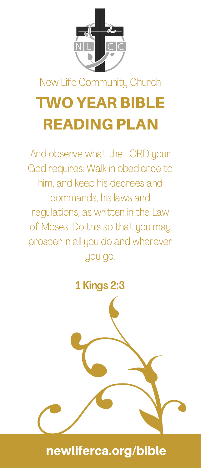

# TWO YEAR BIBLE READING PLAN

And observe what the LORD your God requires: Walk in obedience to him, and keep his decrees and commands, his laws and regulations, as written in the Law of Moses. Do this so that you may prosper in all you do and wherever you go.

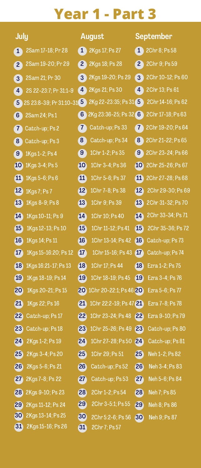| July                                | August                                          | September            |  |
|-------------------------------------|-------------------------------------------------|----------------------|--|
| 2Sam 17-18; Pr 28<br>$\bf{1}$       | 2Kgs 17; Ps 27                                  | 2Chr 8; Ps 58        |  |
| 2Sam 19-20; Pr 29<br>$\overline{2}$ | 2 2Kgs 18; Ps 28                                | (2)<br>2Chr 9; Ps 59 |  |
| 2Sam 21; Pr 30                      | 2Kgs 19-20; Ps 29                               | 2Chr 10-12; Ps 60    |  |
| $\sqrt{3}$                          | $\left(3\right)$                                | $\left(3\right)$     |  |
| 2S 22-23:7; Pr 31:1-9               | 2Kgs 21: Ps 30                                  | $\overline{4}$       |  |
| $\left( 4 \right)$                  | (4)                                             | 2Chr 13: Ps 61       |  |
| $\overline{5}$                      | 2S 23:8-39; Pr 31:10-31 5 2Kg 22-23:35; Ps 31 5 | 2Chr 14-16; Ps 62    |  |
| 6)<br>2Sam 24; Ps 1                 | 6 $2$ Kg 23:36-25; Ps 32 6                      | 2Chr 17-18; Ps 63    |  |
| $\overline{7}$                      | (7)                                             | $\mathbf{7}$         |  |
| Catch-up; Ps 2                      | Catch-up; Ps 33                                 | 2Chr 19-20; Ps 64    |  |
| 8 <sup>1</sup>                      | $\left( 8\right)$                               | 2Chr 21-22; Ps 65    |  |
| Catch-up; Ps 3                      | Catch-up; Ps 34                                 | 8)                   |  |
| 9                                   | $\left(9\right)$                                | 2Chr 23-24; Ps 66    |  |
| 1Kgs 1-2; Ps 4                      | 1Chr 1-2; Ps 35                                 | $\left( 9\right)$    |  |
| 10 <sub>1</sub>                     | 10                                              | 10                   |  |
| 1Kgs 3-4; Ps 5                      | 1Chr 3-4; Ps 36                                 | 2Chr 25-26; Ps 67    |  |
| (11)                                | (11)                                            | 41                   |  |
| 1Kgs 5-6; Ps 6                      | 1Chr 5-6; Ps 37                                 | 2Chr 27-28; Ps 68    |  |
| (12)                                | (12)                                            | (12)                 |  |
| 1Kgs 7: Ps 7                        | 1Chr 7-8: Ps 38                                 | 2Chr 29-30; Ps 69    |  |
| (13)                                | 13                                              | (13)                 |  |
| 1Kgs 8-9; Ps 8                      | 1Chr 9; Ps 39                                   | 2Chr 31-32; Ps 70    |  |
| 14                                  | 14                                              | 2Chr 33-34; Ps 71    |  |
| 1Kgs 10-11; Ps 9                    | 1Chr 10: Ps 40                                  | 14                   |  |
| (15)                                | 1Chr 11-12; Ps 41                               | 2Chr 35-36: Ps 72    |  |
| 1Kgs 12-13; Ps 10                   | (15)                                            | 15 <sub>1</sub>      |  |
| 16                                  | <b>16</b>                                       | <b>16</b>            |  |
| 1Kgs 14; Ps 11                      | 1Chr 13-14; Ps 42                               | Catch-up: Ps 73      |  |
| (17)                                | $\overline{17}$                                 | (17)                 |  |
| 1Kgs 15-16:20; Ps 12                | 1Chr 15-16; Ps 43                               | Catch-up; Ps 74      |  |
| <b>18</b>                           | <b>18</b>                                       | <b>18</b>            |  |
| 1Kgs 16:21-17; Ps 13                | 1Chr 17: Ps 44                                  | Ezra 1-2; Ps 75      |  |
| (19)                                | (19)                                            | (19)                 |  |
| 1Kgs 18-19; Ps 14                   | 1Chr 18-19; Ps 45                               | Ezra 3-4; Ps 76      |  |
| 20<br>1Kgs 20-21; Ps 15             | 20<br>1Chr 20-22:1; Ps 46 20                    | Ezra 5-6; Ps 77      |  |
| (21)<br>1Kgs 22; Ps 16              | (21)<br>1Chr 22:2-19: Ps 47 21                  | Ezra 7-8: Ps 78      |  |
| 22<br>Catch-up; Ps 17               | $ 22\rangle$<br>1Chr 23-24; Ps 48 22            | Ezra 9-10: Ps 79     |  |
| 23                                  | 23                                              | (23)                 |  |
| Catch-up; Ps 18                     | 1Chr 25-26; Ps 49                               | Catch-up; Ps 80      |  |
| 24                                  | 24                                              | 24                   |  |
| 2Kgs 1-2; Ps 19                     | 1Chr 27-28; Ps 50                               | Catch-up; Ps 81      |  |
| 25 <sub>1</sub>                     | (25)                                            | (25)                 |  |
| 2Kgs 3-4: Ps 20                     | 1Chr 29: Ps 51                                  | Neh 1-2: Ps 82       |  |
| 26                                  | 26                                              | 26                   |  |
| 2Kgs 5-6; Ps 21                     | Catch-up; Ps 52                                 | Neh 3-4; Ps 83       |  |
| (27)                                | (27)                                            | $\overline{27}$      |  |
| 2Kgs 7-8; Ps 22                     | Catch-up; Ps 53                                 | Neh 5-6: Ps 84       |  |
| 28                                  | 28                                              | (28)                 |  |
| 2Kgs 9-10; Ps 23                    | 2Chr 1-2; Ps 54                                 | Neh 7; Ps 85         |  |
| 29                                  | 29                                              | 29                   |  |
| 2Kgs 11-12; Ps 24                   | 2Chr 3-5:1; Ps 55                               | Neh 8; Ps 86         |  |
| 30                                  | 30                                              | 30                   |  |
| 2Kgs 13-14; Ps 25                   | 2Chr 5:2-6; Ps 56                               | Neh 9: Ps 87         |  |
| 2Kgs 15-16; Ps 26<br>31             | $\left  \frac{31}{2} \right $<br>2Chr 7; Ps 57  |                      |  |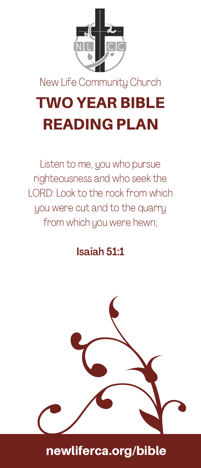

## TWO YEAR BIBLE READING PLAN

Listen to me, you who pursue righteousness and who seek the LORD: Look to the rock from which you were cut and to the quarry from which you were hewn;

#### Isaiah 51:1